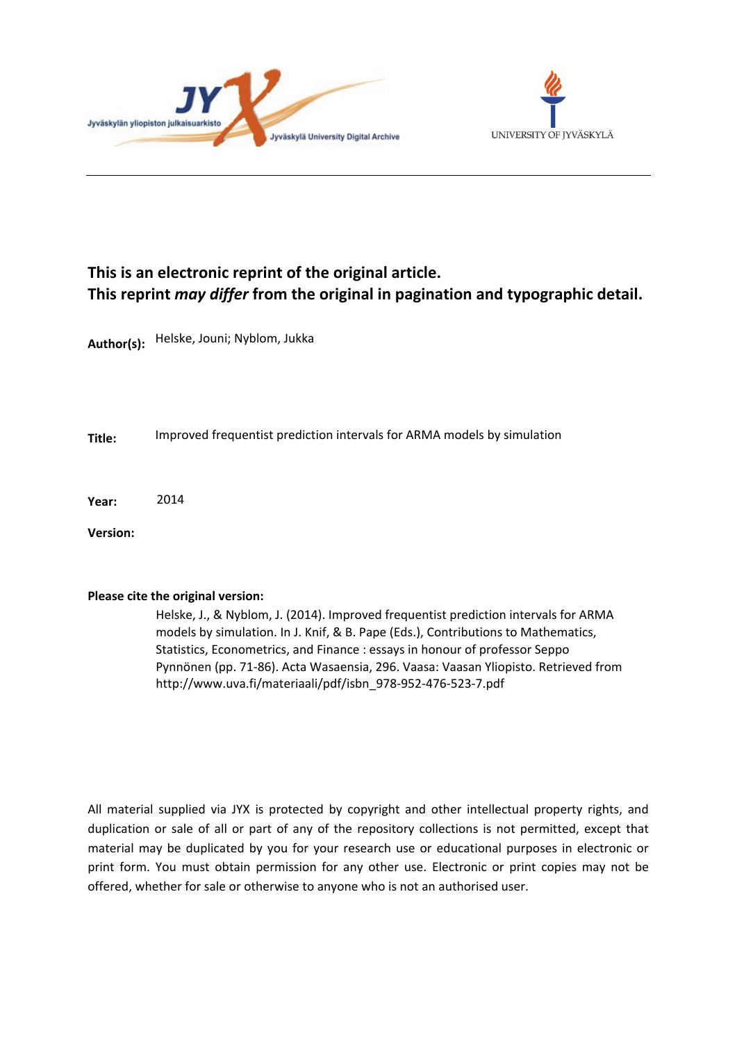



# **This is an electronic reprint of the original article. This reprint** *may differ* **from the original in pagination and typographic detail.**

**Author(s):**  Helske, Jouni; Nyblom, Jukka

**Title:** Improved frequentist prediction intervals for ARMA models by simulation

**Year:**  2014

**Version:**

#### **Please cite the original version:**

Helske, J., & Nyblom, J. (2014). Improved frequentist prediction intervals for ARMA models by simulation. In J. Knif, & B. Pape (Eds.), Contributions to Mathematics, Statistics, Econometrics, and Finance : essays in honour of professor Seppo Pynnönen (pp. 71-86). Acta Wasaensia, 296. Vaasa: Vaasan Yliopisto. Retrieved from http://www.uva.fi/materiaali/pdf/isbn\_978-952-476-523-7.pdf

All material supplied via JYX is protected by copyright and other intellectual property rights, and duplication or sale of all or part of any of the repository collections is not permitted, except that material may be duplicated by you for your research use or educational purposes in electronic or print form. You must obtain permission for any other use. Electronic or print copies may not be offered, whether for sale or otherwise to anyone who is not an authorised user.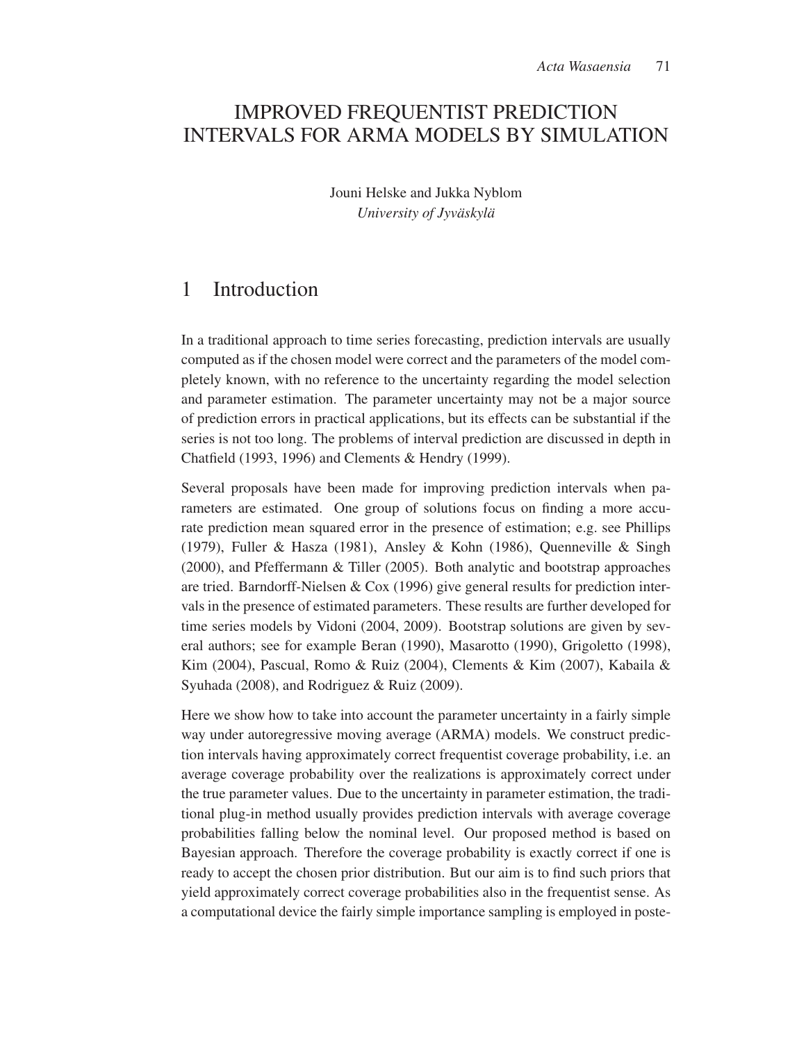# IMPROVED FREQUENTIST PREDICTION INTERVALS FOR ARMA MODELS BY SIMULATION

Jouni Helske and Jukka Nyblom *University of Jyväskylä* 

### 1 Introduction

In a traditional approach to time series forecasting, prediction intervals are usually computed as if the chosen model were correct and the parameters of the model completely known, with no reference to the uncertainty regarding the model selection and parameter estimation. The parameter uncertainty may not be a major source of prediction errors in practical applications, but its effects can be substantial if the series is not too long. The problems of interval prediction are discussed in depth in Chatfield (1993, 1996) and Clements & Hendry (1999).

Several proposals have been made for improving prediction intervals when parameters are estimated. One group of solutions focus on finding a more accurate prediction mean squared error in the presence of estimation; e.g. see Phillips (1979), Fuller & Hasza (1981), Ansley & Kohn (1986), Quenneville & Singh (2000), and Pfeffermann & Tiller (2005). Both analytic and bootstrap approaches are tried. Barndorff-Nielsen & Cox (1996) give general results for prediction intervals in the presence of estimated parameters. These results are further developed for time series models by Vidoni (2004, 2009). Bootstrap solutions are given by several authors; see for example Beran (1990), Masarotto (1990), Grigoletto (1998), Kim (2004), Pascual, Romo & Ruiz (2004), Clements & Kim (2007), Kabaila & Syuhada (2008), and Rodriguez & Ruiz (2009).

Here we show how to take into account the parameter uncertainty in a fairly simple way under autoregressive moving average (ARMA) models. We construct prediction intervals having approximately correct frequentist coverage probability, i.e. an average coverage probability over the realizations is approximately correct under the true parameter values. Due to the uncertainty in parameter estimation, the traditional plug-in method usually provides prediction intervals with average coverage probabilities falling below the nominal level. Our proposed method is based on Bayesian approach. Therefore the coverage probability is exactly correct if one is ready to accept the chosen prior distribution. But our aim is to find such priors that yield approximately correct coverage probabilities also in the frequentist sense. As a computational device the fairly simple importance sampling is employed in poste-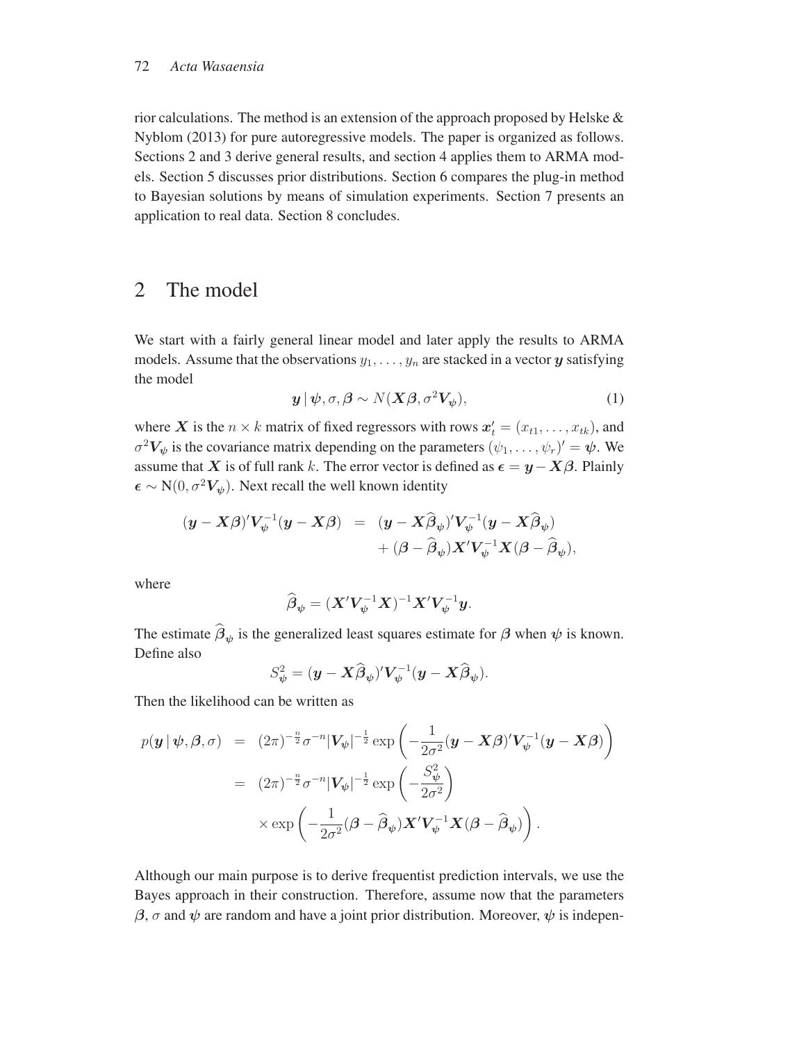#### 72 *Acta Wasaensia*

rior calculations. The method is an extension of the approach proposed by Helske & Nyblom (2013) for pure autoregressive models. The paper is organized as follows. Sections 2 and 3 derive general results, and section 4 applies them to ARMA models. Section 5 discusses prior distributions. Section 6 compares the plug-in method to Bayesian solutions by means of simulation experiments. Section 7 presents an application to real data. Section 8 concludes.

### 2 The model

We start with a fairly general linear model and later apply the results to ARMA models. Assume that the observations  $y_1, \ldots, y_n$  are stacked in a vector  $y$  satisfying the model

$$
\mathbf{y} | \boldsymbol{\psi}, \sigma, \boldsymbol{\beta} \sim N(\mathbf{X}\boldsymbol{\beta}, \sigma^2 \mathbf{V}_{\boldsymbol{\psi}}), \tag{1}
$$

where *X* is the  $n \times k$  matrix of fixed regressors with rows  $\mathbf{x}'_t = (x_{t1}, \dots, x_{tk})$ , and  $\mathbf{z}^2 \mathbf{V}_t$  is the covariance matrix depending on the perspectors  $(e_t, e_t, y_t)$  $\sigma^2 V_{\psi}$  is the covariance matrix depending on the parameters  $(\psi_1, \dots, \psi_r)' = \psi$ . We assume that *X* is of full rank k. The error vector is defined as  $\epsilon = y - X\beta$ . Plainly  $\epsilon \sim N(0, \sigma^2 V_{\psi})$ . Next recall the well known identity

$$
\begin{array}{rcl} (\boldsymbol{y}-\boldsymbol{X}\boldsymbol{\beta})'\boldsymbol{V}_{\psi}^{-1}(\boldsymbol{y}-\boldsymbol{X}\boldsymbol{\beta})&=& (\boldsymbol{y}-\boldsymbol{X}\widehat{\boldsymbol{\beta}}_{\psi})'\boldsymbol{V}_{\psi}^{-1}(\boldsymbol{y}-\boldsymbol{X}\widehat{\boldsymbol{\beta}}_{\psi})\\&+ (\boldsymbol{\beta}-\widehat{\boldsymbol{\beta}}_{\psi})\boldsymbol{X}'\boldsymbol{V}_{\psi}^{-1}\boldsymbol{X}(\boldsymbol{\beta}-\widehat{\boldsymbol{\beta}}_{\psi}), \end{array}
$$

where

$$
\widehat{\boldsymbol{\beta}}_{\boldsymbol{\psi}} = (\boldsymbol{X}'\boldsymbol{V}_{\boldsymbol{\psi}}^{-1}\boldsymbol{X})^{-1}\boldsymbol{X}'\boldsymbol{V}_{\boldsymbol{\psi}}^{-1}\boldsymbol{y}.
$$

The estimate  $\beta_{\psi}$  is the generalized least squares estimate for  $\beta$  when  $\psi$  is known. Define also

$$
S^2_{\psi} = (\mathbf{y} - \mathbf{X}\widehat{\boldsymbol{\beta}}_{\psi})'V^{-1}_{\psi}(\mathbf{y} - \mathbf{X}\widehat{\boldsymbol{\beta}}_{\psi}).
$$

Then the likelihood can be written as

$$
p(\mathbf{y} | \boldsymbol{\psi}, \boldsymbol{\beta}, \sigma) = (2\pi)^{-\frac{n}{2}} \sigma^{-n} |\mathbf{V}_{\boldsymbol{\psi}}|^{-\frac{1}{2}} \exp\left(-\frac{1}{2\sigma^2} (\mathbf{y} - \mathbf{X}\boldsymbol{\beta})' \mathbf{V}_{\boldsymbol{\psi}}^{-1} (\mathbf{y} - \mathbf{X}\boldsymbol{\beta})\right)
$$
  
\n
$$
= (2\pi)^{-\frac{n}{2}} \sigma^{-n} |\mathbf{V}_{\boldsymbol{\psi}}|^{-\frac{1}{2}} \exp\left(-\frac{S_{\boldsymbol{\psi}}^2}{2\sigma^2}\right)
$$
  
\n
$$
\times \exp\left(-\frac{1}{2\sigma^2} (\boldsymbol{\beta} - \widehat{\boldsymbol{\beta}}_{\boldsymbol{\psi}}) \mathbf{X}' \mathbf{V}_{\boldsymbol{\psi}}^{-1} \mathbf{X} (\boldsymbol{\beta} - \widehat{\boldsymbol{\beta}}_{\boldsymbol{\psi}})\right).
$$

Although our main purpose is to derive frequentist prediction intervals, we use the Bayes approach in their construction. Therefore, assume now that the parameters  $β$ , *σ* and  $ψ$  are random and have a joint prior distribution. Moreover,  $ψ$  is indepen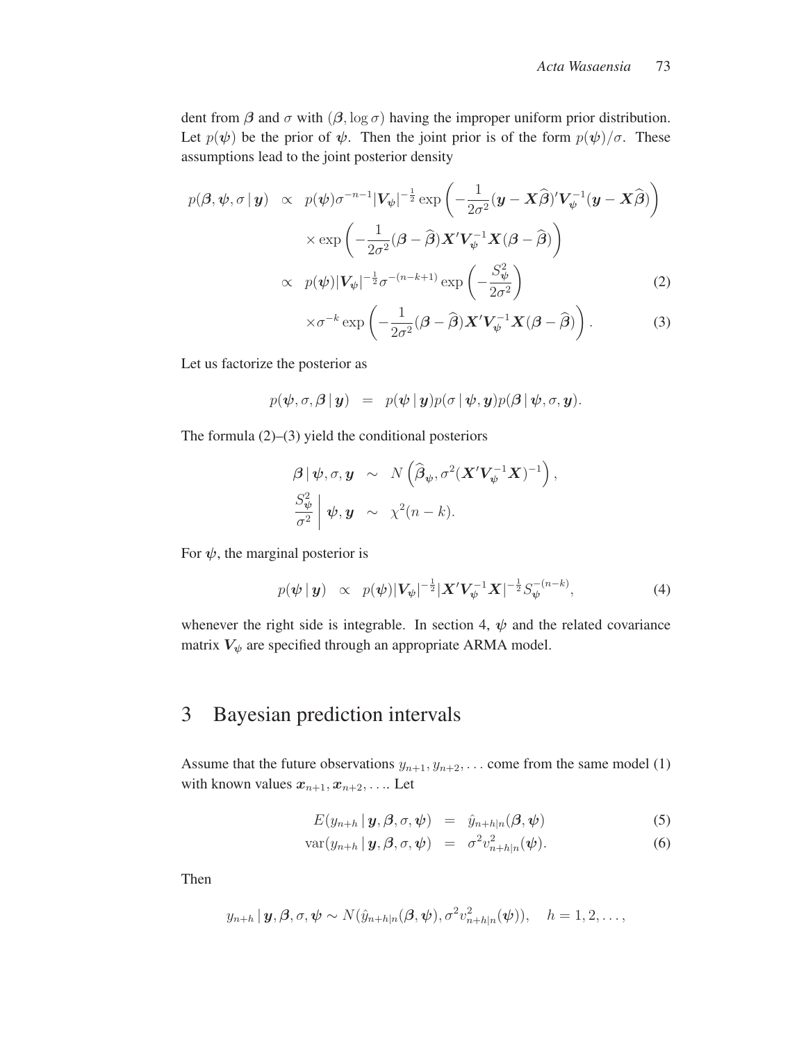dent from  $\beta$  and  $\sigma$  with  $(\beta, \log \sigma)$  having the improper uniform prior distribution. Let  $p(\psi)$  be the prior of  $\psi$ . Then the joint prior is of the form  $p(\psi)/\sigma$ . These assumptions lead to the joint posterior density

$$
p(\boldsymbol{\beta}, \boldsymbol{\psi}, \sigma | \boldsymbol{y}) \propto p(\boldsymbol{\psi}) \sigma^{-n-1} |V_{\boldsymbol{\psi}}|^{-\frac{1}{2}} \exp\left(-\frac{1}{2\sigma^2} (\boldsymbol{y} - \boldsymbol{X}\widehat{\boldsymbol{\beta}})' V_{\boldsymbol{\psi}}^{-1} (\boldsymbol{y} - \boldsymbol{X}\widehat{\boldsymbol{\beta}})\right)
$$

$$
\times \exp\left(-\frac{1}{2\sigma^2} (\boldsymbol{\beta} - \widehat{\boldsymbol{\beta}}) \boldsymbol{X}' V_{\boldsymbol{\psi}}^{-1} \boldsymbol{X} (\boldsymbol{\beta} - \widehat{\boldsymbol{\beta}})\right)
$$

$$
\propto p(\boldsymbol{\psi}) |V_{\boldsymbol{\psi}}|^{-\frac{1}{2}} \sigma^{-(n-k+1)} \exp\left(-\frac{S_{\boldsymbol{\psi}}^2}{2\sigma^2}\right) \tag{2}
$$

$$
\times \sigma^{-k} \exp\left(-\frac{1}{2\sigma^2}(\boldsymbol{\beta}-\widehat{\boldsymbol{\beta}}) \boldsymbol{X}' \boldsymbol{V}_{\psi}^{-1} \boldsymbol{X} (\boldsymbol{\beta}-\widehat{\boldsymbol{\beta}})\right).
$$
 (3)

Let us factorize the posterior as

$$
p(\boldsymbol{\psi}, \sigma, \boldsymbol{\beta} \,|\, \boldsymbol{y}) = p(\boldsymbol{\psi} \,|\, \boldsymbol{y}) p(\sigma \,|\, \boldsymbol{\psi}, \boldsymbol{y}) p(\boldsymbol{\beta} \,|\, \boldsymbol{\psi}, \sigma, \boldsymbol{y}).
$$

The formula  $(2)$ – $(3)$  yield the conditional posteriors

$$
\begin{array}{rcl}\n\boldsymbol{\beta} \, | \, \boldsymbol{\psi}, \sigma, \boldsymbol{y} & \sim & N \left( \widehat{\boldsymbol{\beta}}_{\boldsymbol{\psi}}, \sigma^2 (\boldsymbol{X}' \boldsymbol{V}_{\boldsymbol{\psi}}^{-1} \boldsymbol{X})^{-1} \right), \\
\frac{S_{\boldsymbol{\psi}}^2}{\sigma^2} \, \bigg| \, \boldsymbol{\psi}, \boldsymbol{y} & \sim & \chi^2 (n-k).\n\end{array}
$$

For  $\psi$ , the marginal posterior is

$$
p(\boldsymbol{\psi} \,|\, \boldsymbol{y}) \,\,\propto\,\, p(\boldsymbol{\psi}) \,|\, \boldsymbol{V}_{\boldsymbol{\psi}}|^{-\frac{1}{2}} \,|\boldsymbol{X}' \boldsymbol{V}_{\boldsymbol{\psi}}^{-1} \boldsymbol{X}|^{-\frac{1}{2}} S_{\boldsymbol{\psi}}^{-(n-k)},\tag{4}
$$

whenever the right side is integrable. In section 4,  $\psi$  and the related covariance matrix  $V_{\psi}$  are specified through an appropriate ARMA model.

# 3 Bayesian prediction intervals

Assume that the future observations  $y_{n+1}, y_{n+2}, \ldots$  come from the same model (1) with known values  $x_{n+1}, x_{n+2}, \ldots$  Let

$$
E(y_{n+h} | \mathbf{y}, \boldsymbol{\beta}, \sigma, \boldsymbol{\psi}) = \hat{y}_{n+h|n}(\boldsymbol{\beta}, \boldsymbol{\psi}) \tag{5}
$$

$$
var(y_{n+h} | \mathbf{y}, \beta, \sigma, \psi) = \sigma^2 v_{n+h|n}^2(\psi).
$$
 (6)

Then

$$
y_{n+h} | \mathbf{y}, \boldsymbol{\beta}, \sigma, \boldsymbol{\psi} \sim N(\hat{y}_{n+h|n}(\boldsymbol{\beta}, \boldsymbol{\psi}), \sigma^2 v_{n+h|n}^2(\boldsymbol{\psi})), \quad h = 1, 2, \ldots,
$$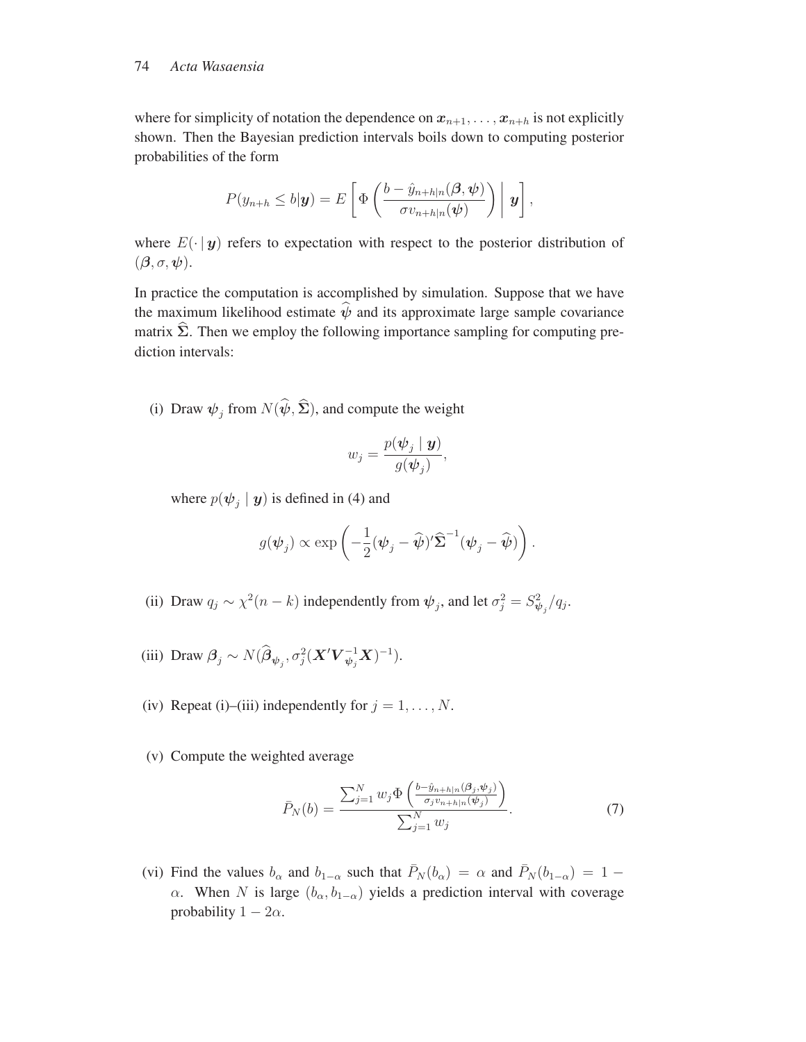#### 74 *Acta Wasaensia*

where for simplicity of notation the dependence on  $x_{n+1}, \ldots, x_{n+h}$  is not explicitly shown. Then the Bayesian prediction intervals boils down to computing posterior probabilities of the form

$$
P(y_{n+h} \leq b|\mathbf{y}) = E\left[\Phi\left(\frac{b - \hat{y}_{n+h|n}(\boldsymbol{\beta}, \boldsymbol{\psi})}{\sigma v_{n+h|n}(\boldsymbol{\psi})}\right) | \mathbf{y}\right],
$$

where  $E(\cdot | y)$  refers to expectation with respect to the posterior distribution of (*β*, σ, *<sup>ψ</sup>*).

In practice the computation is accomplished by simulation. Suppose that we have the maximum likelihood estimate  $\psi$  and its approximate large sample covariance matrix Σ. Then we employ the following importance sampling for computing prediction intervals:

(i) Draw  $\psi_j$  from  $N(\psi, \Sigma)$ , and compute the weight

$$
w_j = \frac{p(\boldsymbol{\psi}_j \mid \boldsymbol{y})}{g(\boldsymbol{\psi}_j)},
$$

where  $p(\psi_i | y)$  is defined in (4) and

$$
g(\boldsymbol{\psi}_j) \propto \exp\left(-\frac{1}{2}(\boldsymbol{\psi}_j - \widehat{\boldsymbol{\psi}})' \widehat{\boldsymbol{\Sigma}}^{-1}(\boldsymbol{\psi}_j - \widehat{\boldsymbol{\psi}})\right).
$$

- (ii) Draw  $q_j \sim \chi^2(n-k)$  independently from  $\psi_j$ , and let  $\sigma_j^2 = S_{\psi_j}^2/q_j$ .
- (iii) Draw  $\beta_j \sim N(\hat{\beta}_{\psi_j}, \sigma_j^2(\mathbf{X}' \mathbf{V}_{\psi_j}^{-1} \mathbf{X})^{-1}).$
- (iv) Repeat (i)–(iii) independently for  $j = 1, \ldots, N$ .
- (v) Compute the weighted average

$$
\bar{P}_N(b) = \frac{\sum_{j=1}^N w_j \Phi\left(\frac{b - \hat{y}_{n+h|n}(\beta_j, \psi_j)}{\sigma_j v_{n+h|n}(\psi_j)}\right)}{\sum_{j=1}^N w_j}.
$$
\n(7)

(vi) Find the values  $b_{\alpha}$  and  $b_{1-\alpha}$  such that  $\bar{P}_N(b_{\alpha}) = \alpha$  and  $\bar{P}_N(b_{1-\alpha})=1$  − α. When N is large  $(b<sub>α</sub>, b<sub>1-α</sub>)$  yields a prediction interval with coverage probability  $1 - 2\alpha$ .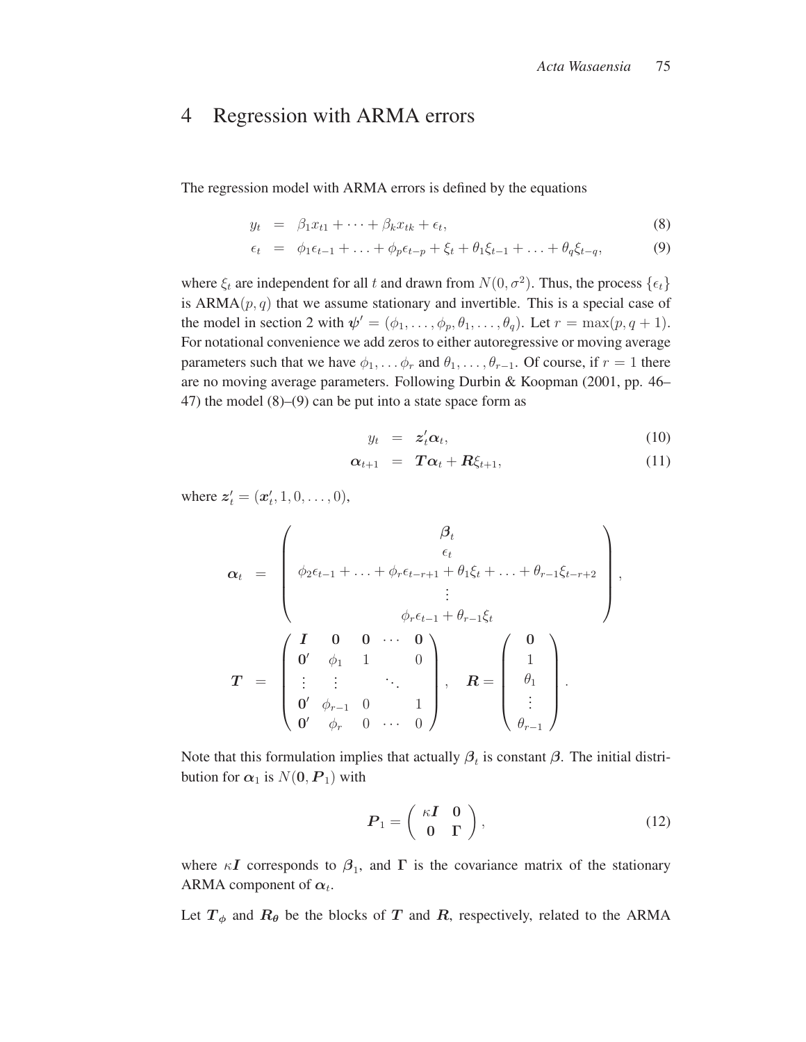### 4 Regression with ARMA errors

The regression model with ARMA errors is defined by the equations

$$
y_t = \beta_1 x_{t1} + \dots + \beta_k x_{tk} + \epsilon_t, \tag{8}
$$

$$
\epsilon_t = \phi_1 \epsilon_{t-1} + \ldots + \phi_p \epsilon_{t-p} + \xi_t + \theta_1 \xi_{t-1} + \ldots + \theta_q \xi_{t-q}, \tag{9}
$$

where  $\xi_t$  are independent for all t and drawn from  $N(0, \sigma^2)$ . Thus, the process  $\{\epsilon_t\}$ is  $ARMA(p, q)$  that we assume stationary and invertible. This is a special case of the model in section 2 with  $\psi' = (\phi_1, \dots, \phi_p, \theta_1, \dots, \theta_q)$ . Let  $r = \max(p, q + 1)$ . For notational convenience we add zeros to either autoregressive or moving average parameters such that we have  $\phi_1, \ldots, \phi_r$  and  $\theta_1, \ldots, \theta_{r-1}$ . Of course, if  $r = 1$  there are no moving average parameters. Following Durbin & Koopman (2001, pp. 46– 47) the model (8)–(9) can be put into a state space form as

$$
y_t = z_t' \alpha_t, \tag{10}
$$

$$
\alpha_{t+1} = T\alpha_t + R\xi_{t+1}, \qquad (11)
$$

where  $z'_t = (x'_t, 1, 0, \ldots, 0),$ 

$$
\mathbf{\alpha}_{t} = \begin{pmatrix} \beta_{t} \\ \epsilon_{t} \\ \phi_{2}\epsilon_{t-1} + \ldots + \phi_{r}\epsilon_{t-r+1} + \theta_{1}\xi_{t} + \ldots + \theta_{r-1}\xi_{t-r+2} \\ \vdots \\ \phi_{r}\epsilon_{t-1} + \theta_{r-1}\xi_{t} \\ \mathbf{0}^{\prime} & \phi_{1} & 1 & 0 \\ \vdots & \vdots & \ddots & 0 \\ \mathbf{0}^{\prime} & \phi_{r-1} & 0 & 1 \\ \mathbf{0}^{\prime} & \phi_{r} & 0 & \ldots & 0 \end{pmatrix}, \quad \mathbf{R} = \begin{pmatrix} \mathbf{0} \\ 1 \\ \theta_{1} \\ \vdots \\ \theta_{r-1} \end{pmatrix}.
$$

Note that this formulation implies that actually  $\beta_t$  is constant  $\beta$ . The initial distribution for  $\alpha_1$  is  $N(\mathbf{0}, P_1)$  with

$$
\boldsymbol{P}_1 = \left(\begin{array}{cc} \kappa \boldsymbol{I} & 0 \\ 0 & \Gamma \end{array}\right),\tag{12}
$$

where  $\kappa I$  corresponds to  $\beta_1$ , and  $\Gamma$  is the covariance matrix of the stationary ARMA component of  $\alpha_t$ .

Let  $T_{\phi}$  and  $R_{\theta}$  be the blocks of *T* and *R*, respectively, related to the ARMA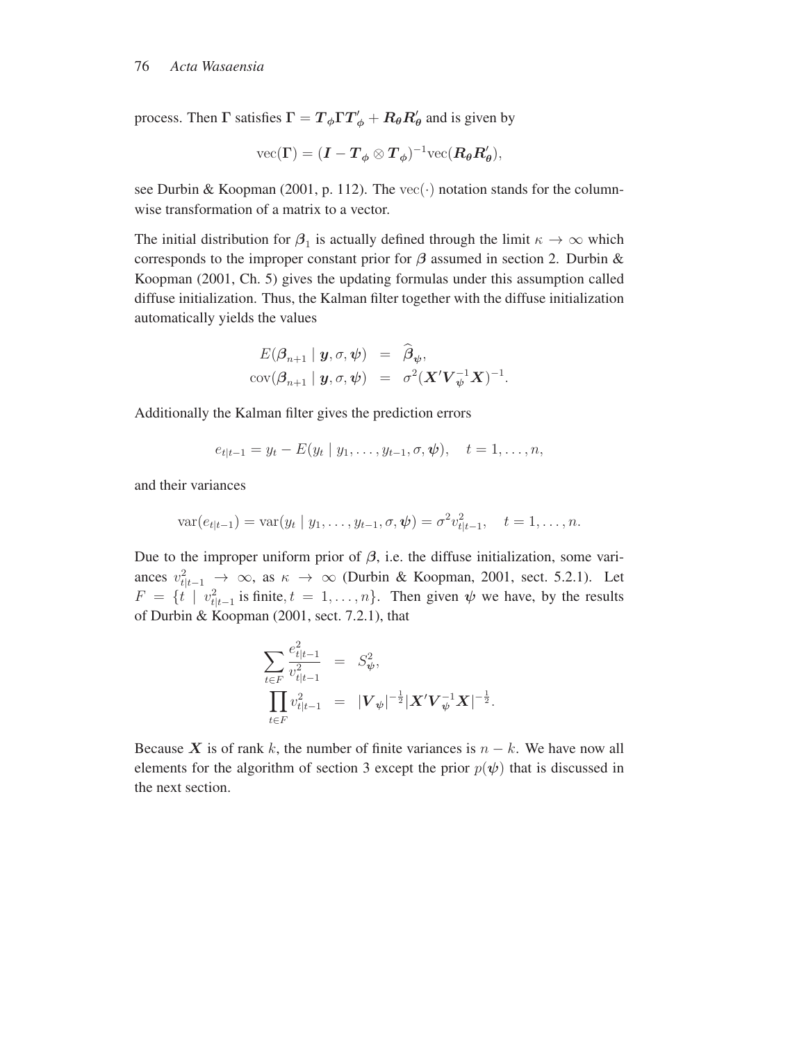process. Then  $\Gamma$  satisfies  $\Gamma = T_{\phi} \Gamma T'_{\phi} + R_{\theta} R'_{\theta}$  and is given by

$$
\text{vec}(\Gamma) = (I - T_{\phi} \otimes T_{\phi})^{-1} \text{vec}(R_{\theta}R_{\theta}'),
$$

see Durbin & Koopman (2001, p. 112). The  $\text{vec}(\cdot)$  notation stands for the columnwise transformation of a matrix to a vector.

The initial distribution for  $\beta_1$  is actually defined through the limit  $\kappa \to \infty$  which corresponds to the improper constant prior for *β* assumed in section 2. Durbin & Koopman (2001, Ch. 5) gives the updating formulas under this assumption called diffuse initialization. Thus, the Kalman filter together with the diffuse initialization automatically yields the values

$$
E(\boldsymbol{\beta}_{n+1} | \boldsymbol{y}, \sigma, \boldsymbol{\psi}) = \widehat{\boldsymbol{\beta}}_{\boldsymbol{\psi}},
$$
  
cov $(\boldsymbol{\beta}_{n+1} | \boldsymbol{y}, \sigma, \boldsymbol{\psi}) = \sigma^2 (\boldsymbol{X}' \boldsymbol{V}_{\boldsymbol{\psi}}^{-1} \boldsymbol{X})^{-1}.$ 

Additionally the Kalman filter gives the prediction errors

$$
e_{t|t-1} = y_t - E(y_t | y_1, \dots, y_{t-1}, \sigma, \psi), \quad t = 1, \dots, n,
$$

and their variances

$$
\text{var}(e_{t|t-1}) = \text{var}(y_t \mid y_1, \dots, y_{t-1}, \sigma, \psi) = \sigma^2 v_{t|t-1}^2, \quad t = 1, \dots, n.
$$

Due to the improper uniform prior of  $\beta$ , i.e. the diffuse initialization, some variances  $v_{t|t-1}^2 \to \infty$ , as  $\kappa \to \infty$  (Durbin & Koopman, 2001, sect. 5.2.1). Let  $F = \{t \mid v_{t|t-1}^2 \text{ is finite}, t = 1, \ldots, n\}.$  Then given  $\psi$  we have, by the results of Durbin *&* Koopman (2001, sect. 7.2.1), that of Durbin & Koopman (2001, sect. 7.2.1), that

$$
\sum_{t \in F} \frac{e_{t|t-1}^2}{v_{t|t-1}^2} = S_{\psi}^2,
$$
\n
$$
\prod_{t \in F} v_{t|t-1}^2 = |V_{\psi}|^{-\frac{1}{2}} |X'V_{\psi}^{-1}X|^{-\frac{1}{2}}
$$

Because *X* is of rank k, the number of finite variances is  $n - k$ . We have now all elements for the algorithm of section 3 except the prior  $p(\psi)$  that is discussed in the next section.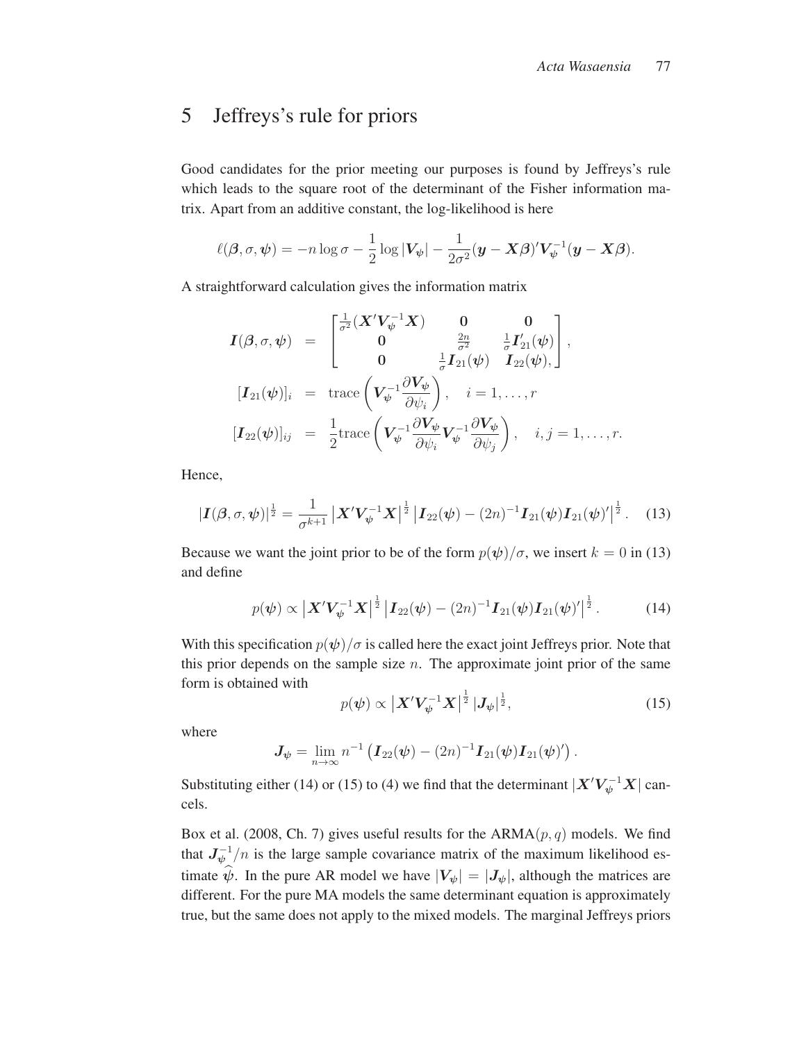### 5 Jeffreys's rule for priors

Good candidates for the prior meeting our purposes is found by Jeffreys's rule which leads to the square root of the determinant of the Fisher information matrix. Apart from an additive constant, the log-likelihood is here

$$
\ell(\boldsymbol{\beta}, \sigma, \boldsymbol{\psi}) = -n \log \sigma - \frac{1}{2} \log |\boldsymbol{V}_{\boldsymbol{\psi}}| - \frac{1}{2\sigma^2} (\boldsymbol{y} - \boldsymbol{X}\boldsymbol{\beta})' \boldsymbol{V}_{\boldsymbol{\psi}}^{-1} (\boldsymbol{y} - \boldsymbol{X}\boldsymbol{\beta}).
$$

A straightforward calculation gives the information matrix

$$
\mathbf{I}(\boldsymbol{\beta}, \sigma, \boldsymbol{\psi}) = \begin{bmatrix} \frac{1}{\sigma^2} (\boldsymbol{X}' \boldsymbol{V}_{\boldsymbol{\psi}}^{-1} \boldsymbol{X}) & \mathbf{0} & \mathbf{0} \\ \mathbf{0} & \frac{2n}{\sigma^2} & \frac{1}{\sigma} \boldsymbol{I}_{21}'(\boldsymbol{\psi}) \\ \mathbf{0} & \frac{1}{\sigma} \boldsymbol{I}_{21}(\boldsymbol{\psi}) & \boldsymbol{I}_{22}(\boldsymbol{\psi}), \end{bmatrix},
$$
\n
$$
[\mathbf{I}_{21}(\boldsymbol{\psi})]_i = \text{trace}\left(\boldsymbol{V}_{\boldsymbol{\psi}}^{-1} \frac{\partial \boldsymbol{V}_{\boldsymbol{\psi}}}{\partial \psi_i}\right), \quad i = 1, \dots, r
$$
\n
$$
[\mathbf{I}_{22}(\boldsymbol{\psi})]_{ij} = \frac{1}{2} \text{trace}\left(\boldsymbol{V}_{\boldsymbol{\psi}}^{-1} \frac{\partial \boldsymbol{V}_{\boldsymbol{\psi}}}{\partial \psi_i} \boldsymbol{V}_{\boldsymbol{\psi}}^{-1} \frac{\partial \boldsymbol{V}_{\boldsymbol{\psi}}}{\partial \psi_j}\right), \quad i, j = 1, \dots, r.
$$

Hence,

$$
|\boldsymbol{I}(\boldsymbol{\beta},\sigma,\boldsymbol{\psi})|^{\frac{1}{2}} = \frac{1}{\sigma^{k+1}} |\boldsymbol{X}' \boldsymbol{V}_{\boldsymbol{\psi}}^{-1} \boldsymbol{X}|^{\frac{1}{2}} |\boldsymbol{I}_{22}(\boldsymbol{\psi}) - (2n)^{-1} \boldsymbol{I}_{21}(\boldsymbol{\psi}) \boldsymbol{I}_{21}(\boldsymbol{\psi})'|^{\frac{1}{2}}. \quad (13)
$$

Because we want the joint prior to be of the form  $p(\psi)/\sigma$ , we insert  $k = 0$  in (13) and define

$$
p(\boldsymbol{\psi}) \propto \left| \boldsymbol{X}' \boldsymbol{V}_{\boldsymbol{\psi}}^{-1} \boldsymbol{X} \right|^{\frac{1}{2}} \left| \boldsymbol{I}_{22}(\boldsymbol{\psi}) - (2n)^{-1} \boldsymbol{I}_{21}(\boldsymbol{\psi}) \boldsymbol{I}_{21}(\boldsymbol{\psi})' \right|^{\frac{1}{2}}.
$$
 (14)

With this specification  $p(\psi)/\sigma$  is called here the exact joint Jeffreys prior. Note that this prior depends on the sample size  $n$ . The approximate joint prior of the same form is obtained with

$$
p(\boldsymbol{\psi}) \propto \left| \boldsymbol{X}' \boldsymbol{V}_{\boldsymbol{\psi}}^{-1} \boldsymbol{X} \right|^{\frac{1}{2}} |J_{\boldsymbol{\psi}}|^{\frac{1}{2}}, \tag{15}
$$

where

 $J_{\psi} = \lim_{n \to \infty} n^{-1} \left( I_{22}(\psi) - (2n)^{-1} I_{21}(\psi) I_{21}(\psi)' \right)$ 

Substituting either (14) or (15) to (4) we find that the determinant  $|X'V_{\psi}^{-1}X|$  cancels.

Box et al. (2008, Ch. 7) gives useful results for the  $ARMA(p, q)$  models. We find that  $J_{\psi}^{-1}/n$  is the large sample covariance matrix of the maximum likelihood estimate  $\psi$ . In the pure AR model we have  $|V_{\psi}| = |J_{\psi}|$ , although the matrices are different. For the pure MA models the same determinant counting is approximately different. For the pure MA models the same determinant equation is approximately true, but the same does not apply to the mixed models. The marginal Jeffreys priors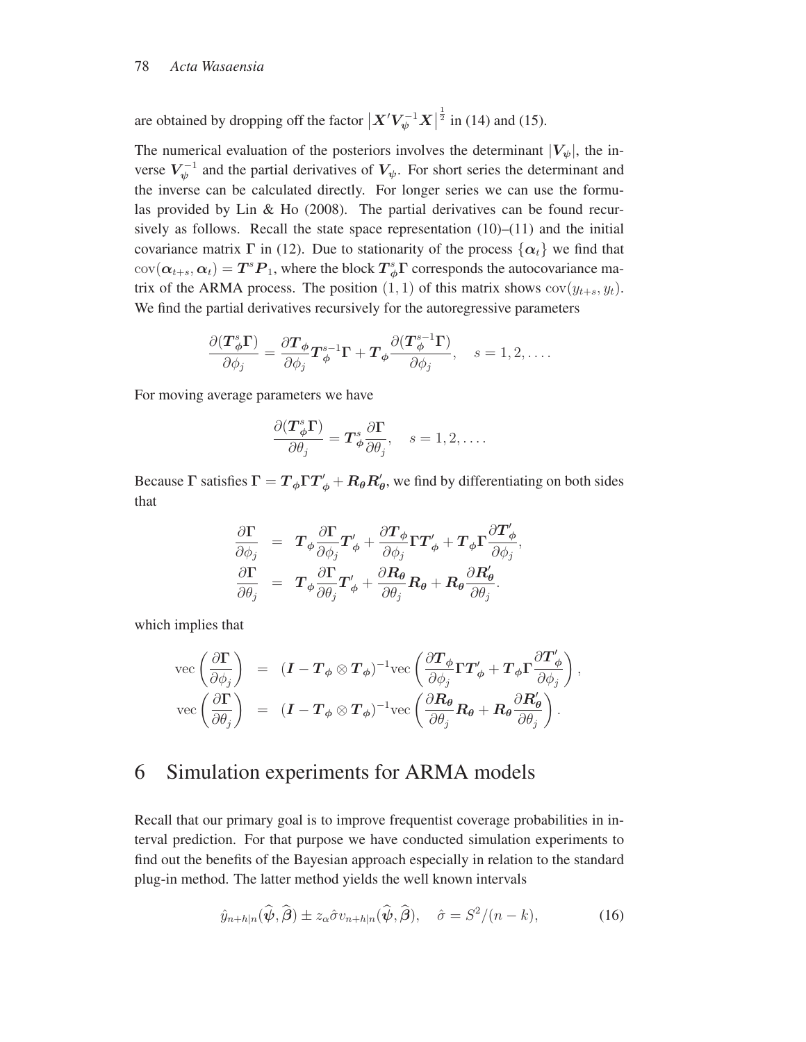are obtained by dropping off the factor  $\left| X'V_\psi^{-1}X \right|$  $\frac{1}{2}$  in (14) and (15).

The numerical evaluation of the posteriors involves the determinant  $|V_{\psi}|$ , the inverse  $V_{\psi}^{-1}$  and the partial derivatives of  $V_{\psi}$ . For short series the determinant and the inverse can be calculated directly. For longer series we can use the formulas provided by Lin & Ho (2008). The partial derivatives can be found recursively as follows. Recall the state space representation  $(10)$ – $(11)$  and the initial covariance matrix  $\Gamma$  in (12). Due to stationarity of the process  $\{\alpha_t\}$  we find that  $cov(\boldsymbol{\alpha}_{t+s}, \boldsymbol{\alpha}_t) = \boldsymbol{T}^s \boldsymbol{P}_1$ , where the block  $\boldsymbol{T}^s_{\phi} \boldsymbol{\Gamma}$  corresponds the autocovariance ma-<br>trix of the APMA process. The position (1, 1) of this matrix shows sor(s) trix of the ARMA process. The position  $(1, 1)$  of this matrix shows  $cov(y_{t+s}, y_t)$ . We find the partial derivatives recursively for the autoregressive parameters

$$
\frac{\partial (\boldsymbol{T}_{\phi}^{s} \boldsymbol{\Gamma})}{\partial \phi_{j}} = \frac{\partial \boldsymbol{T}_{\phi}}{\partial \phi_{j}} \boldsymbol{T}_{\phi}^{s-1} \boldsymbol{\Gamma} + \boldsymbol{T}_{\phi} \frac{\partial (\boldsymbol{T}_{\phi}^{s-1} \boldsymbol{\Gamma})}{\partial \phi_{j}}, \quad s = 1, 2, \dots
$$

For moving average parameters we have

$$
\frac{\partial (\boldsymbol{T}_{\phi}^{s} \boldsymbol{\Gamma})}{\partial \theta_{j}} = \boldsymbol{T}_{\phi}^{s} \frac{\partial \boldsymbol{\Gamma}}{\partial \theta_{j}}, \quad s = 1, 2, \dots
$$

Because Γ satisfies  $\Gamma = T_{\phi} \Gamma T'_{\phi} + R_{\theta} R'_{\theta}$ , we find by differentiating on both sides that that

$$
\frac{\partial \Gamma}{\partial \phi_j} = T_{\phi} \frac{\partial \Gamma}{\partial \phi_j} T'_{\phi} + \frac{\partial T_{\phi}}{\partial \phi_j} \Gamma T'_{\phi} + T_{\phi} \Gamma \frac{\partial T'_{\phi}}{\partial \phi_j}, \n\frac{\partial \Gamma}{\partial \theta_j} = T_{\phi} \frac{\partial \Gamma}{\partial \theta_j} T'_{\phi} + \frac{\partial R_{\theta}}{\partial \theta_j} R_{\theta} + R_{\theta} \frac{\partial R'_{\theta}}{\partial \theta_j}.
$$

which implies that

$$
\begin{array}{rcl}\n\text{vec}\left(\frac{\partial \Gamma}{\partial \phi_j}\right) & = & (\boldsymbol{I} - \boldsymbol{T}_{\phi} \otimes \boldsymbol{T}_{\phi})^{-1} \text{vec}\left(\frac{\partial \boldsymbol{T}_{\phi}}{\partial \phi_j} \boldsymbol{\Gamma} \boldsymbol{T}_{\phi}' + \boldsymbol{T}_{\phi} \boldsymbol{\Gamma} \frac{\partial \boldsymbol{T}_{\phi}'}{\partial \phi_j}\right), \\
\text{vec}\left(\frac{\partial \boldsymbol{\Gamma}}{\partial \theta_j}\right) & = & (\boldsymbol{I} - \boldsymbol{T}_{\phi} \otimes \boldsymbol{T}_{\phi})^{-1} \text{vec}\left(\frac{\partial \boldsymbol{R}_{\theta}}{\partial \theta_j} \boldsymbol{R}_{\theta} + \boldsymbol{R}_{\theta} \frac{\partial \boldsymbol{R}_{\theta}'}{\partial \theta_j}\right).\n\end{array}
$$

### 6 Simulation experiments for ARMA models

Recall that our primary goal is to improve frequentist coverage probabilities in interval prediction. For that purpose we have conducted simulation experiments to find out the benefits of the Bayesian approach especially in relation to the standard plug-in method. The latter method yields the well known intervals

$$
\hat{y}_{n+h|n}(\widehat{\boldsymbol{\psi}},\widehat{\boldsymbol{\beta}}) \pm z_{\alpha}\widehat{\sigma}v_{n+h|n}(\widehat{\boldsymbol{\psi}},\widehat{\boldsymbol{\beta}}), \quad \widehat{\sigma} = S^2/(n-k), \tag{16}
$$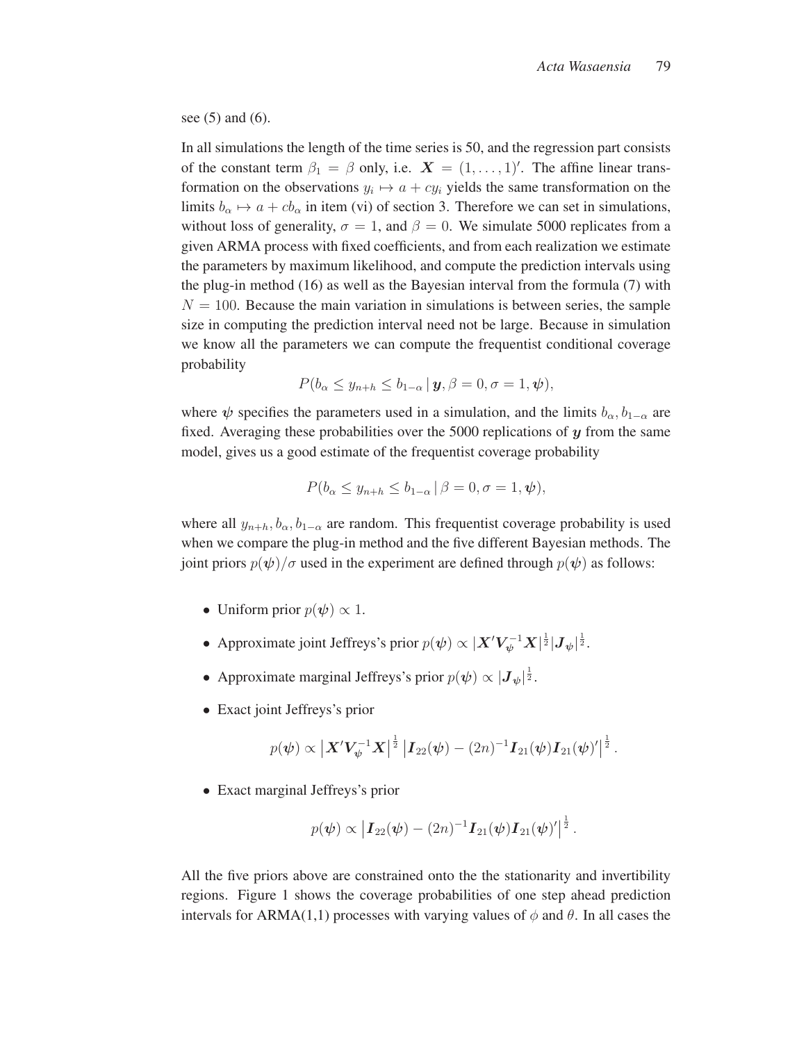see (5) and (6).

In all simulations the length of the time series is 50, and the regression part consists of the constant term  $\beta_1 = \beta$  only, i.e.  $\mathbf{X} = (1, \dots, 1)$ . The affine linear trans-<br>formation on the observations  $y \mapsto a + ay$  vialds the same transformation on the formation on the observations  $y_i \mapsto a + cy_i$  yields the same transformation on the limits  $b_{\alpha} \mapsto a + cb_{\alpha}$  in item (vi) of section 3. Therefore we can set in simulations, without loss of generality,  $\sigma = 1$ , and  $\beta = 0$ . We simulate 5000 replicates from a given ARMA process with fixed coefficients, and from each realization we estimate the parameters by maximum likelihood, and compute the prediction intervals using the plug-in method (16) as well as the Bayesian interval from the formula (7) with  $N = 100$ . Because the main variation in simulations is between series, the sample size in computing the prediction interval need not be large. Because in simulation we know all the parameters we can compute the frequentist conditional coverage probability

$$
P(b_{\alpha}\leq y_{n+h}\leq b_{1-\alpha}\,|\,\boldsymbol{y},\beta=0,\sigma=1,\boldsymbol{\psi}),
$$

where  $\psi$  specifies the parameters used in a simulation, and the limits  $b_{\alpha}, b_{1-\alpha}$  are fixed. Averaging these probabilities over the 5000 replications of *y* from the same model, gives us a good estimate of the frequentist coverage probability

$$
P(b_{\alpha} \leq y_{n+h} \leq b_{1-\alpha} | \beta = 0, \sigma = 1, \psi),
$$

where all  $y_{n+h}$ ,  $b_{\alpha}$ ,  $b_{1-\alpha}$  are random. This frequentist coverage probability is used when we compare the plug-in method and the five different Bayesian methods. The joint priors  $p(\psi)/\sigma$  used in the experiment are defined through  $p(\psi)$  as follows:

- Uniform prior  $p(\psi) \propto 1$ .
- Approximate joint Jeffreys's prior  $p(\psi) \propto |X'V_{\psi}^{-1}X|^{\frac{1}{2}} |J_{\psi}|^{\frac{1}{2}}$ .
- Approximate marginal Jeffreys's prior  $p(\psi) \propto |J_{\psi}|^{\frac{1}{2}}$ .
- Exact joint Jeffreys's prior

$$
p(\psi) \propto \left| \mathbf{X}' \mathbf{V}_{\psi}^{-1} \mathbf{X} \right|^{\frac{1}{2}} \left| \mathbf{I}_{22}(\psi) - (2n)^{-1} \mathbf{I}_{21}(\psi) \mathbf{I}_{21}(\psi)' \right|^{\frac{1}{2}}.
$$

• Exact marginal Jeffreys's prior

$$
p(\psi) \propto |I_{22}(\psi) - (2n)^{-1} I_{21}(\psi) I_{21}(\psi)|^{\frac{1}{2}}
$$

All the five priors above are constrained onto the the stationarity and invertibility regions. Figure 1 shows the coverage probabilities of one step ahead prediction intervals for ARMA(1,1) processes with varying values of  $\phi$  and  $\theta$ . In all cases the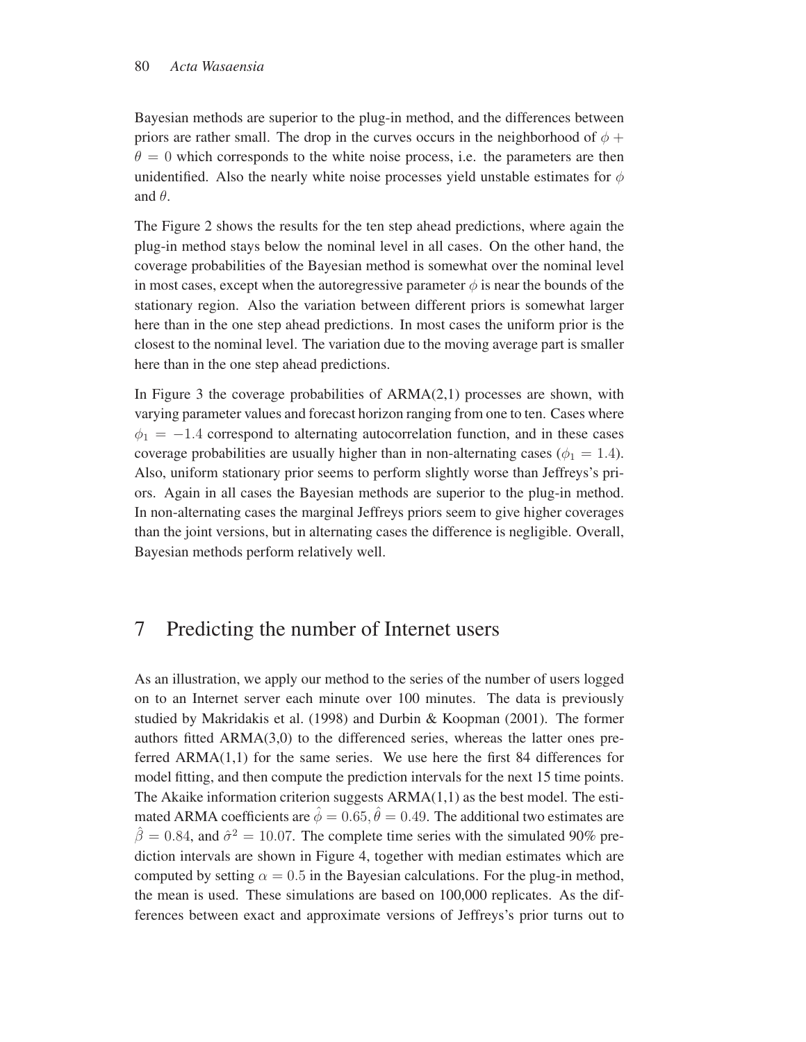Bayesian methods are superior to the plug-in method, and the differences between priors are rather small. The drop in the curves occurs in the neighborhood of  $\phi$  +  $\theta = 0$  which corresponds to the white noise process, i.e. the parameters are then unidentified. Also the nearly white noise processes yield unstable estimates for  $\phi$ and  $\theta$ .

The Figure 2 shows the results for the ten step ahead predictions, where again the plug-in method stays below the nominal level in all cases. On the other hand, the coverage probabilities of the Bayesian method is somewhat over the nominal level in most cases, except when the autoregressive parameter  $\phi$  is near the bounds of the stationary region. Also the variation between different priors is somewhat larger here than in the one step ahead predictions. In most cases the uniform prior is the closest to the nominal level. The variation due to the moving average part is smaller here than in the one step ahead predictions.

In Figure 3 the coverage probabilities of  $ARMA(2,1)$  processes are shown, with varying parameter values and forecast horizon ranging from one to ten. Cases where  $\phi_1 = -1.4$  correspond to alternating autocorrelation function, and in these cases coverage probabilities are usually higher than in non-alternating cases ( $\phi_1 = 1.4$ ). Also, uniform stationary prior seems to perform slightly worse than Jeffreys's priors. Again in all cases the Bayesian methods are superior to the plug-in method. In non-alternating cases the marginal Jeffreys priors seem to give higher coverages than the joint versions, but in alternating cases the difference is negligible. Overall, Bayesian methods perform relatively well.

### 7 Predicting the number of Internet users

As an illustration, we apply our method to the series of the number of users logged on to an Internet server each minute over 100 minutes. The data is previously studied by Makridakis et al. (1998) and Durbin & Koopman (2001). The former authors fitted  $ARMA(3,0)$  to the differenced series, whereas the latter ones preferred ARMA(1,1) for the same series. We use here the first 84 differences for model fitting, and then compute the prediction intervals for the next 15 time points. The Akaike information criterion suggests  $ARMA(1,1)$  as the best model. The estimated ARMA coefficients are  $\hat{\phi} = 0.65$ ,  $\hat{\theta} = 0.49$ . The additional two estimates are  $\hat{\beta} = 0.84$ , and  $\hat{\sigma}^2 = 10.07$ . The complete time series with the simulated 90% prediction intervals are shown in Figure 4, together with median estimates which are computed by setting  $\alpha = 0.5$  in the Bayesian calculations. For the plug-in method, the mean is used. These simulations are based on 100,000 replicates. As the differences between exact and approximate versions of Jeffreys's prior turns out to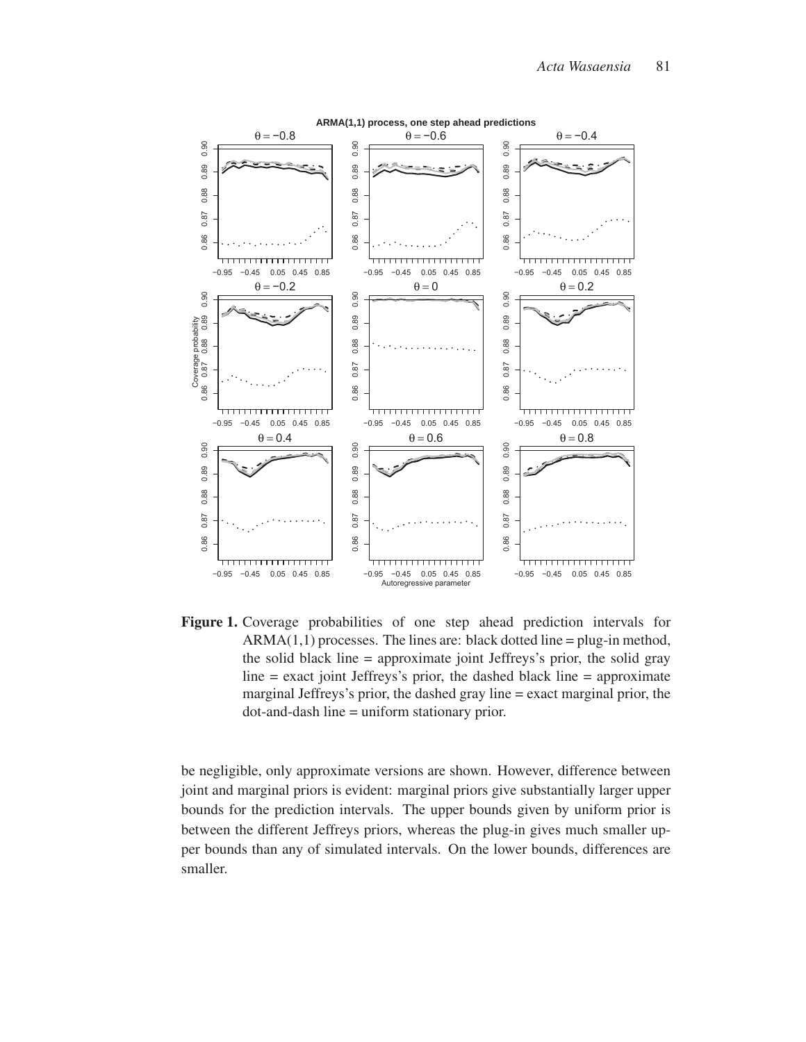

Figure 1. Coverage probabilities of one step ahead prediction intervals for  $ARMA(1,1)$  processes. The lines are: black dotted line = plug-in method, the solid black line = approximate joint Jeffreys's prior, the solid gray  $line = exact joint Jeffreys's prior, the dashed black line = approximate$ marginal Jeffreys's prior, the dashed gray line = exact marginal prior, the dot-and-dash line = uniform stationary prior.

be negligible, only approximate versions are shown. However, difference between joint and marginal priors is evident: marginal priors give substantially larger upper bounds for the prediction intervals. The upper bounds given by uniform prior is between the different Jeffreys priors, whereas the plug-in gives much smaller upper bounds than any of simulated intervals. On the lower bounds, differences are smaller.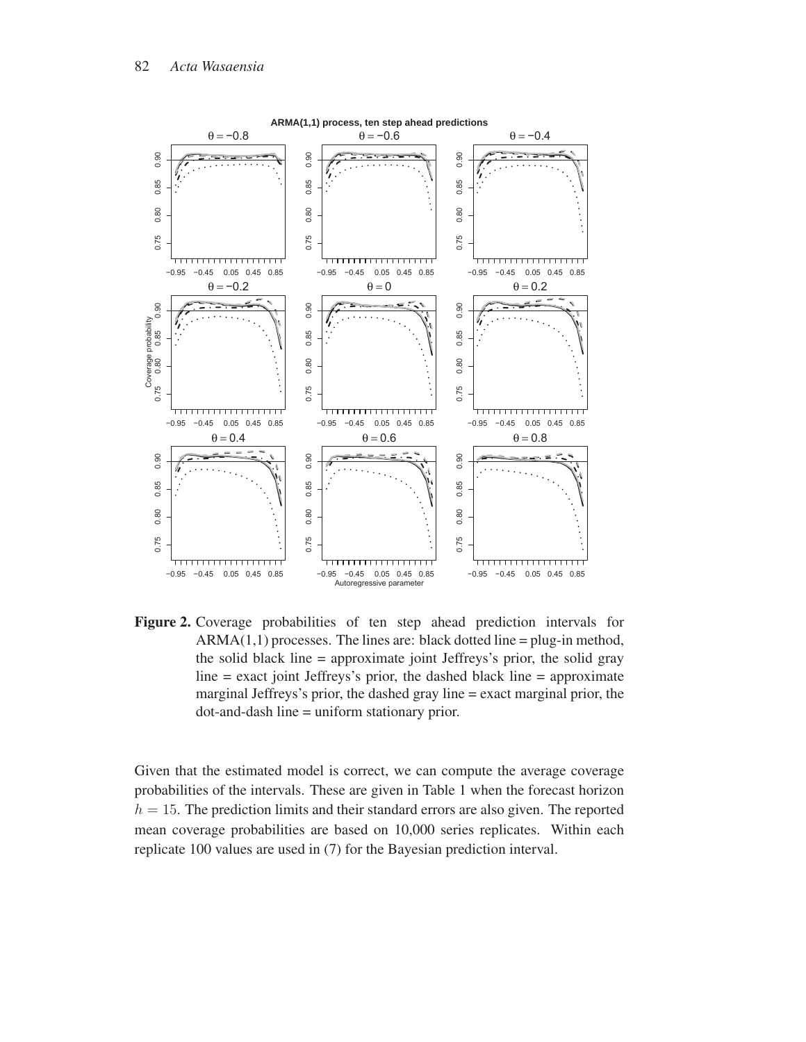

Figure 2. Coverage probabilities of ten step ahead prediction intervals for  $ARMA(1,1)$  processes. The lines are: black dotted line = plug-in method, the solid black line = approximate joint Jeffreys's prior, the solid gray  $line = exact joint Jeffreys's prior, the dashed black line = approximate$ marginal Jeffreys's prior, the dashed gray line = exact marginal prior, the dot-and-dash line = uniform stationary prior.

Given that the estimated model is correct, we can compute the average coverage probabilities of the intervals. These are given in Table 1 when the forecast horizon  $h = 15$ . The prediction limits and their standard errors are also given. The reported mean coverage probabilities are based on 10,000 series replicates. Within each replicate 100 values are used in (7) for the Bayesian prediction interval.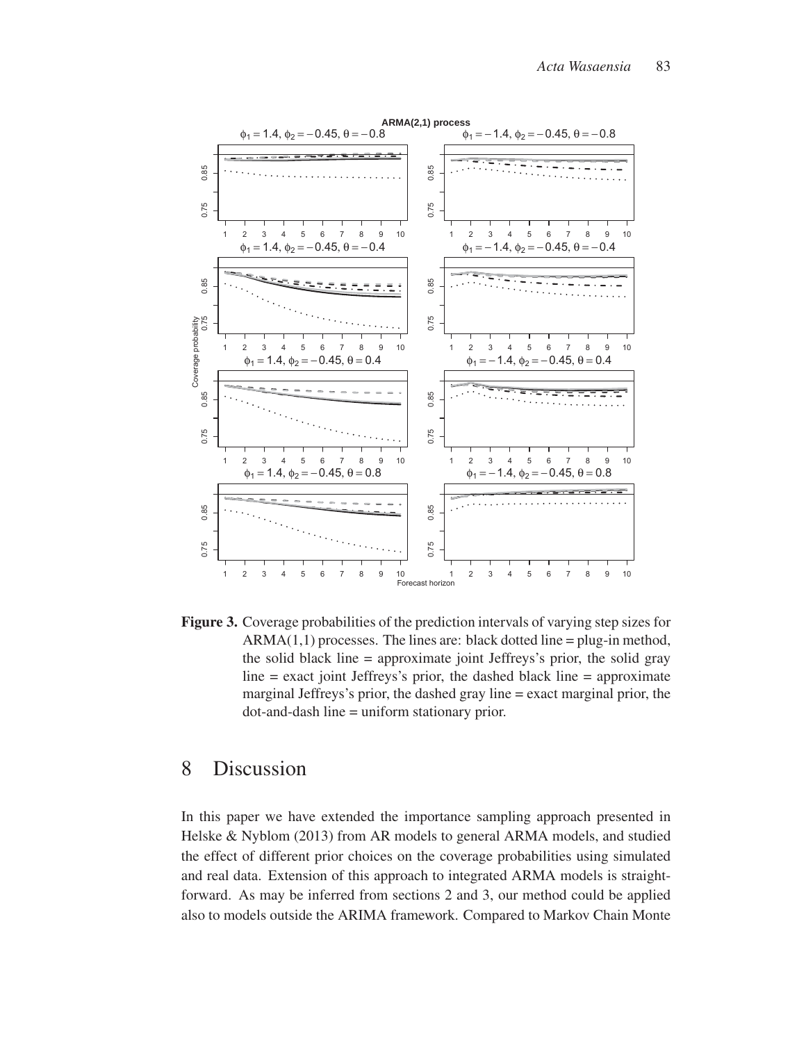

Figure 3. Coverage probabilities of the prediction intervals of varying step sizes for  $ARMA(1,1)$  processes. The lines are: black dotted line = plug-in method, the solid black line = approximate joint Jeffreys's prior, the solid gray  $line = exact joint Jeffreys's prior, the dashed black line = approximate$ marginal Jeffreys's prior, the dashed gray line = exact marginal prior, the dot-and-dash line = uniform stationary prior.

### 8 Discussion

In this paper we have extended the importance sampling approach presented in Helske & Nyblom (2013) from AR models to general ARMA models, and studied the effect of different prior choices on the coverage probabilities using simulated and real data. Extension of this approach to integrated ARMA models is straightforward. As may be inferred from sections 2 and 3, our method could be applied also to models outside the ARIMA framework. Compared to Markov Chain Monte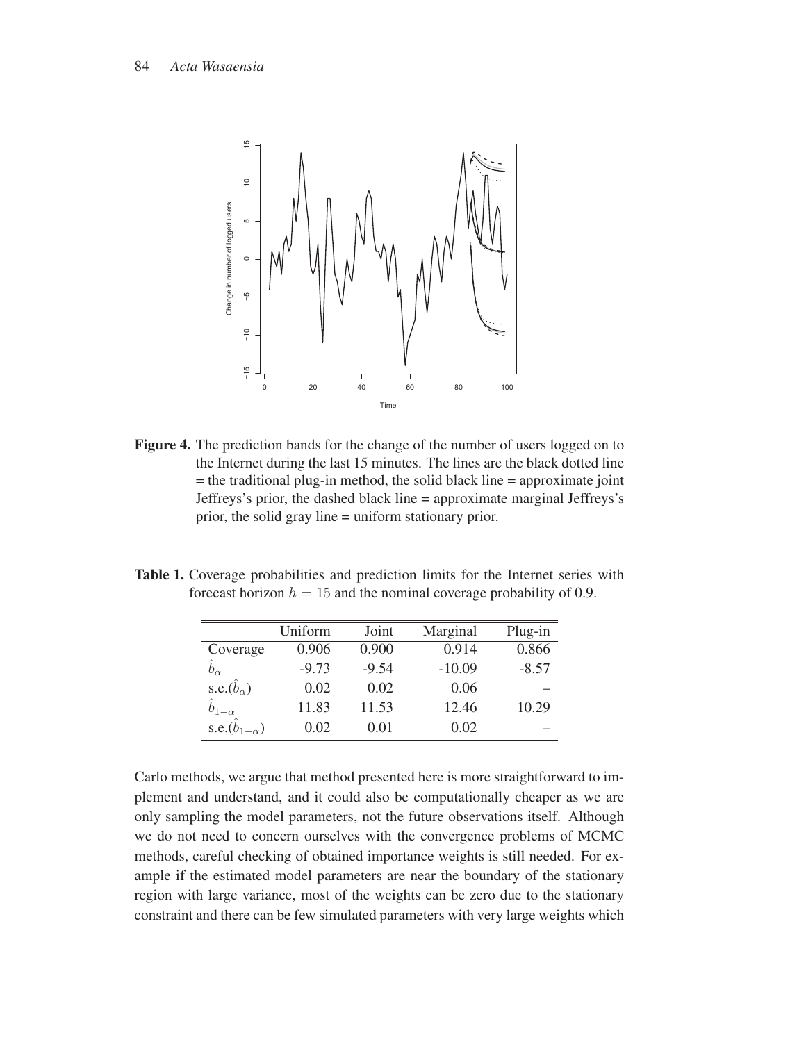

Figure 4. The prediction bands for the change of the number of users logged on to the Internet during the last 15 minutes. The lines are the black dotted line  $=$  the traditional plug-in method, the solid black line  $=$  approximate joint Jeffreys's prior, the dashed black line = approximate marginal Jeffreys's prior, the solid gray line = uniform stationary prior.

Table 1. Coverage probabilities and prediction limits for the Internet series with forecast horizon  $h = 15$  and the nominal coverage probability of 0.9.

|                             | Uniform | Joint   | Marginal | Plug-in |
|-----------------------------|---------|---------|----------|---------|
| Coverage                    | 0.906   | 0.900   | 0.914    | 0.866   |
| $\hat{b}_{\alpha}$          | $-9.73$ | $-9.54$ | $-10.09$ | $-8.57$ |
| s.e. $(\hat{b}_{\alpha})$   | 0.02    | 0.02    | 0.06     |         |
| $\hat{b}_{1-\alpha}$        | 11.83   | 11.53   | 12.46    | 10.29   |
| s.e. $(\hat{b}_{1-\alpha})$ | 0.02    | 0.01    | 0.02     |         |

Carlo methods, we argue that method presented here is more straightforward to implement and understand, and it could also be computationally cheaper as we are only sampling the model parameters, not the future observations itself. Although we do not need to concern ourselves with the convergence problems of MCMC methods, careful checking of obtained importance weights is still needed. For example if the estimated model parameters are near the boundary of the stationary region with large variance, most of the weights can be zero due to the stationary constraint and there can be few simulated parameters with very large weights which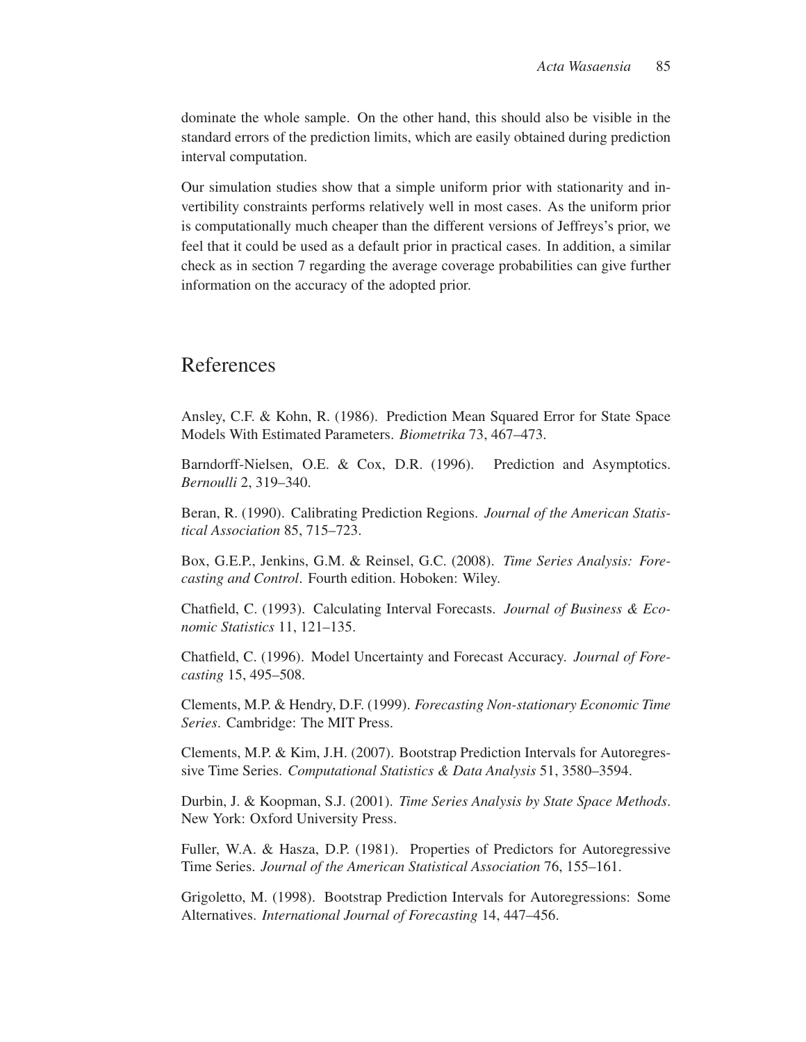dominate the whole sample. On the other hand, this should also be visible in the standard errors of the prediction limits, which are easily obtained during prediction interval computation.

Our simulation studies show that a simple uniform prior with stationarity and invertibility constraints performs relatively well in most cases. As the uniform prior is computationally much cheaper than the different versions of Jeffreys's prior, we feel that it could be used as a default prior in practical cases. In addition, a similar check as in section 7 regarding the average coverage probabilities can give further information on the accuracy of the adopted prior.

# References

Ansley, C.F. & Kohn, R. (1986). Prediction Mean Squared Error for State Space Models With Estimated Parameters. *Biometrika* 73, 467–473.

Barndorff-Nielsen, O.E. & Cox, D.R. (1996). Prediction and Asymptotics. *Bernoulli* 2, 319–340.

Beran, R. (1990). Calibrating Prediction Regions. *Journal of the American Statistical Association* 85, 715–723.

Box, G.E.P., Jenkins, G.M. & Reinsel, G.C. (2008). *Time Series Analysis: Forecasting and Control*. Fourth edition. Hoboken: Wiley.

Chatfield, C. (1993). Calculating Interval Forecasts. *Journal of Business & Economic Statistics* 11, 121–135.

Chatfield, C. (1996). Model Uncertainty and Forecast Accuracy. *Journal of Forecasting* 15, 495–508.

Clements, M.P. & Hendry, D.F. (1999). *Forecasting Non-stationary Economic Time Series*. Cambridge: The MIT Press.

Clements, M.P. & Kim, J.H. (2007). Bootstrap Prediction Intervals for Autoregressive Time Series. *Computational Statistics & Data Analysis* 51, 3580–3594.

Durbin, J. & Koopman, S.J. (2001). *Time Series Analysis by State Space Methods*. New York: Oxford University Press.

Fuller, W.A. & Hasza, D.P. (1981). Properties of Predictors for Autoregressive Time Series. *Journal of the American Statistical Association* 76, 155–161.

Grigoletto, M. (1998). Bootstrap Prediction Intervals for Autoregressions: Some Alternatives. *International Journal of Forecasting* 14, 447–456.